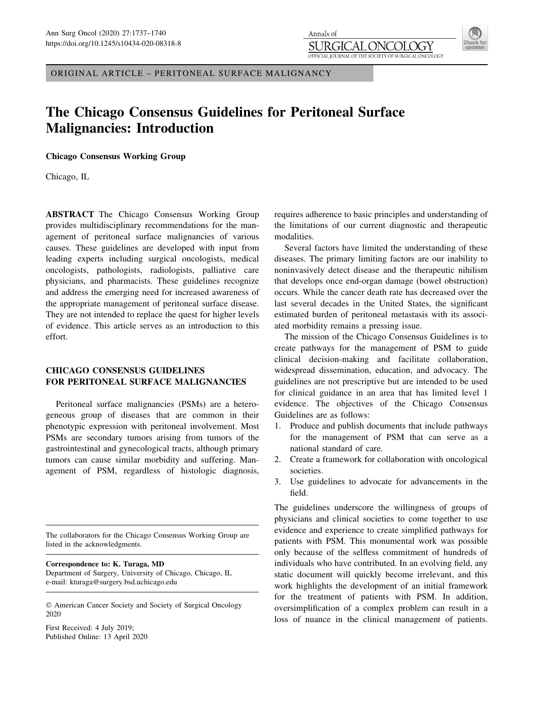ORIGINAL ARTICLE – PERITONEAL SURFACE MALIGNANCY

# The Chicago Consensus Guidelines for Peritoneal Surface Malignancies: Introduction

Chicago Consensus Working Group

Chicago, IL

ABSTRACT The Chicago Consensus Working Group provides multidisciplinary recommendations for the management of peritoneal surface malignancies of various causes. These guidelines are developed with input from leading experts including surgical oncologists, medical oncologists, pathologists, radiologists, palliative care physicians, and pharmacists. These guidelines recognize and address the emerging need for increased awareness of the appropriate management of peritoneal surface disease. They are not intended to replace the quest for higher levels of evidence. This article serves as an introduction to this effort.

## CHICAGO CONSENSUS GUIDELINES FOR PERITONEAL SURFACE MALIGNANCIES

Peritoneal surface malignancies (PSMs) are a heterogeneous group of diseases that are common in their phenotypic expression with peritoneal involvement. Most PSMs are secondary tumors arising from tumors of the gastrointestinal and gynecological tracts, although primary tumors can cause similar morbidity and suffering. Management of PSM, regardless of histologic diagnosis,

The collaborators for the Chicago Consensus Working Group are listed in the acknowledgments.

Correspondence to: K. Turaga, MD Department of Surgery, University of Chicago, Chicago, IL e-mail: kturaga@surgery.bsd.uchicago.edu

 $©$  American Cancer Society and Society of Surgical Oncology 2020

First Received: 4 July 2019; Published Online: 13 April 2020 requires adherence to basic principles and understanding of the limitations of our current diagnostic and therapeutic modalities.

Several factors have limited the understanding of these diseases. The primary limiting factors are our inability to noninvasively detect disease and the therapeutic nihilism that develops once end-organ damage (bowel obstruction) occurs. While the cancer death rate has decreased over the last several decades in the United States, the significant estimated burden of peritoneal metastasis with its associated morbidity remains a pressing issue.

The mission of the Chicago Consensus Guidelines is to create pathways for the management of PSM to guide clinical decision-making and facilitate collaboration, widespread dissemination, education, and advocacy. The guidelines are not prescriptive but are intended to be used for clinical guidance in an area that has limited level 1 evidence. The objectives of the Chicago Consensus Guidelines are as follows:

- 1. Produce and publish documents that include pathways for the management of PSM that can serve as a national standard of care.
- 2. Create a framework for collaboration with oncological societies.
- 3. Use guidelines to advocate for advancements in the field.

The guidelines underscore the willingness of groups of physicians and clinical societies to come together to use evidence and experience to create simplified pathways for patients with PSM. This monumental work was possible only because of the selfless commitment of hundreds of individuals who have contributed. In an evolving field, any static document will quickly become irrelevant, and this work highlights the development of an initial framework for the treatment of patients with PSM. In addition, oversimplification of a complex problem can result in a loss of nuance in the clinical management of patients.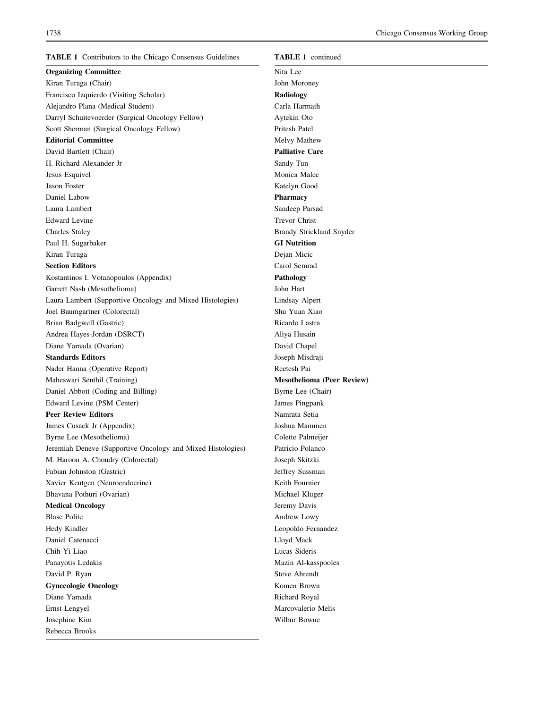<span id="page-1-0"></span>TABLE 1 Contributors to the Chicago Consensus Guidelines

| <b>Organizing Committee</b>                                 |
|-------------------------------------------------------------|
| Kiran Turaga (Chair)                                        |
| Francisco Izquierdo (Visiting Scholar)                      |
| Alejandro Plana (Medical Student)                           |
| Darryl Schuitevoerder (Surgical Oncology Fellow)            |
| Scott Sherman (Surgical Oncology Fellow)                    |
| <b>Editorial Committee</b>                                  |
| David Bartlett (Chair)                                      |
| H. Richard Alexander Jr                                     |
| Jesus Esquivel                                              |
| <b>Jason Foster</b>                                         |
| Daniel Labow                                                |
| Laura Lambert                                               |
| <b>Edward Levine</b>                                        |
| <b>Charles Staley</b>                                       |
| Paul H. Sugarbaker                                          |
| Kiran Turaga                                                |
| <b>Section Editors</b>                                      |
| Kostantinos I. Votanopoulos (Appendix)                      |
| Garrett Nash (Mesothelioma)                                 |
| Laura Lambert (Supportive Oncology and Mixed Histologies)   |
| Joel Baumgartner (Colorectal)                               |
| Brian Badgwell (Gastric)                                    |
| Andrea Hayes-Jordan (DSRCT)                                 |
| Diane Yamada (Ovarian)                                      |
| <b>Standards Editors</b>                                    |
| Nader Hanna (Operative Report)                              |
| Maheswari Senthil (Training)                                |
| Daniel Abbott (Coding and Billing)                          |
| Edward Levine (PSM Center)                                  |
| <b>Peer Review Editors</b>                                  |
| James Cusack Jr (Appendix)                                  |
| Byrne Lee (Mesothelioma)                                    |
| Jeremiah Deneve (Supportive Oncology and Mixed Histologies) |
| M. Haroon A. Choudry (Colorectal)                           |
| Fabian Johnston (Gastric)                                   |
| Xavier Keutgen (Neuroendocrine)                             |
| Bhavana Pothuri (Ovarian)                                   |
| <b>Medical Oncology</b>                                     |
| <b>Blase Polite</b>                                         |
|                                                             |
| Hedy Kindler<br>Daniel Catenacci                            |
| Chih-Yi Liao                                                |
|                                                             |
| Panayotis Ledakis                                           |
| David P. Ryan                                               |
| <b>Gynecologic Oncology</b>                                 |
| Diane Yamada                                                |
| Ernst Lengyel                                               |
| Josephine Kim                                               |
| Rebecca Brooks                                              |

### TABLE 1 continued

Nita Lee John Moroney Radiology Carla Harmath Aytekin Oto Pritesh Patel Melvy Mathew Palliative Care Sandy Tun Monica Malec Katelyn Good Pharmacy Sandeep Parsad Trevor Christ Brandy Strickland Snyder GI Nutrition Dejan Micic Carol Semrad Pathology John Hart Lindsay Alpert Shu Yuan Xiao Ricardo Lastra Aliya Husain David Chapel Joseph Misdraji Reetesh Pai Mesothelioma (Peer Review) Byrne Lee (Chair) James Pingpank Namrata Setia Joshua Mammen Colette Palmeijer Patricio Polanco Joseph Skitzki Jeffrey Sussman Keith Fournier Michael Kluger Jeremy Davis Andrew Lowy Leopoldo Fernandez Lloyd Mack Lucas Sideris Mazin Al-kasspooles Steve Ahrendt Komen Brown Richard Royal Marcovalerio Melis Wilbur Bowne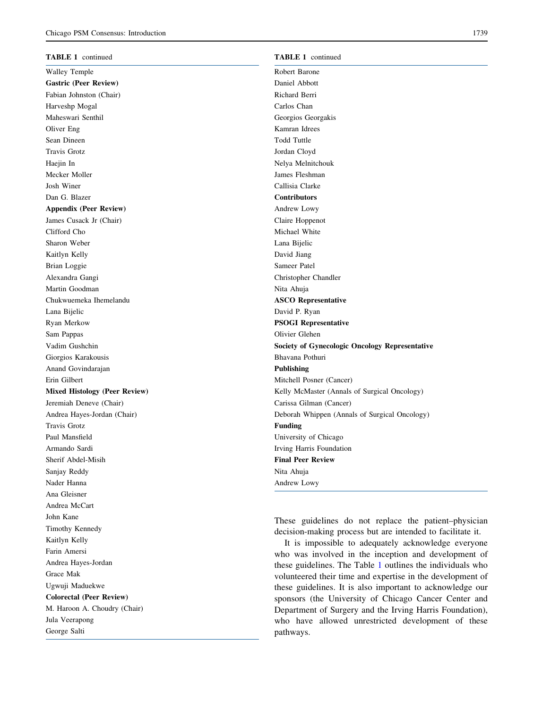#### TABLE 1 continued

Walley Temple Gastric (Peer Review) Fabian Johnston (Chair) Harveshp Mogal Maheswari Senthil Oliver Eng Sean Dineen Travis Grotz Haeiin In Mecker Moller Josh Winer Dan G. Blazer Appendix (Peer Review) James Cusack Jr (Chair) Clifford Cho Sharon Weber Kaitlyn Kelly Brian Loggie Alexandra Gangi Martin Goodman Chukwuemeka Ihemelandu Lana Bijelic Ryan Merkow Sam Pappas Vadim Gushchin Giorgios Karakousis Anand Govindarajan Erin Gilbert Mixed Histology (Peer Review) Jeremiah Deneve (Chair) Andrea Hayes-Jordan (Chair) Travis Grotz Paul Mansfield Armando Sardi Sherif Abdel-Misih Sanjay Reddy Nader Hanna Ana Gleisner Andrea McCart John Kane Timothy Kennedy Kaitlyn Kelly Farin Amersi Andrea Hayes-Jordan Grace Mak Ugwuji Maduekwe Colorectal (Peer Review) M. Haroon A. Choudry (Chair) Jula Veerapong George Salti

#### TABLE 1 continued

Robert Barone Daniel Abbott Richard Berri Carlos Chan Georgios Georgakis Kamran Idrees Todd Tuttle Jordan Cloyd Nelya Melnitchouk James Fleshman Callisia Clarke Contributors Andrew Lowy Claire Hoppenot Michael White Lana Bijelic David Jiang Sameer Patel Christopher Chandler Nita Ahuja ASCO Representative David P. Ryan PSOGI Representative Olivier Glehen Society of Gynecologic Oncology Representative Bhavana Pothuri Publishing Mitchell Posner (Cancer) Kelly McMaster (Annals of Surgical Oncology) Carissa Gilman (Cancer) Deborah Whippen (Annals of Surgical Oncology) Funding University of Chicago Irving Harris Foundation Final Peer Review Nita Ahuja Andrew Lowy

These guidelines do not replace the patient–physician decision-making process but are intended to facilitate it.

It is impossible to adequately acknowledge everyone who was involved in the inception and development of these guidelines. The Table [1](#page-1-0) outlines the individuals who volunteered their time and expertise in the development of these guidelines. It is also important to acknowledge our sponsors (the University of Chicago Cancer Center and Department of Surgery and the Irving Harris Foundation), who have allowed unrestricted development of these pathways.